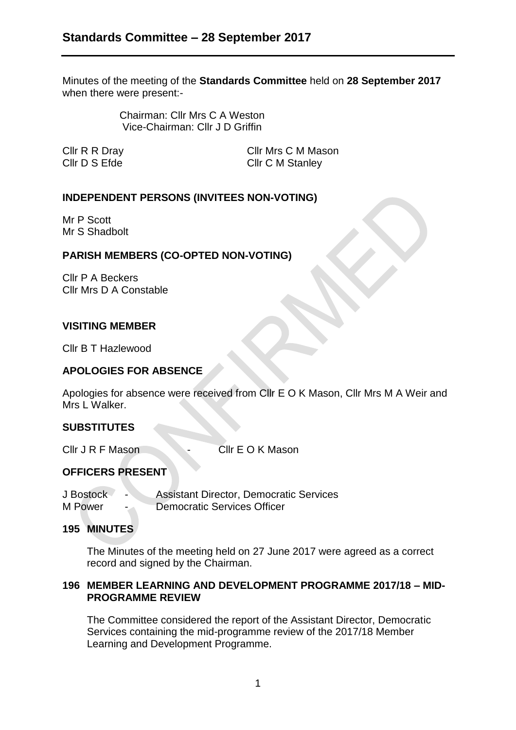Minutes of the meeting of the **Standards Committee** held on **28 September 2017** when there were present:-

> Chairman: Cllr Mrs C A Weston Vice-Chairman: Cllr J D Griffin

Cllr R R Dray Cllr Mrs C M Mason Cllr D S Efde Cllr C M Stanley

## **INDEPENDENT PERSONS (INVITEES NON-VOTING)**

Mr P Scott Mr S Shadbolt

# **PARISH MEMBERS (CO-OPTED NON-VOTING)**

Cllr P A Beckers Cllr Mrs D A Constable

## **VISITING MEMBER**

Cllr B T Hazlewood

## **APOLOGIES FOR ABSENCE**

Apologies for absence were received from Cllr E O K Mason, Cllr Mrs M A Weir and Mrs L Walker.

## **SUBSTITUTES**

Cllr J R F Mason - Cllr E O K Mason

## **OFFICERS PRESENT**

J Bostock - Assistant Director, Democratic Services M Power - Democratic Services Officer

#### **195 MINUTES**

The Minutes of the meeting held on 27 June 2017 were agreed as a correct record and signed by the Chairman.

## **196 MEMBER LEARNING AND DEVELOPMENT PROGRAMME 2017/18 – MID-PROGRAMME REVIEW**

The Committee considered the report of the Assistant Director, Democratic Services containing the mid-programme review of the 2017/18 Member Learning and Development Programme.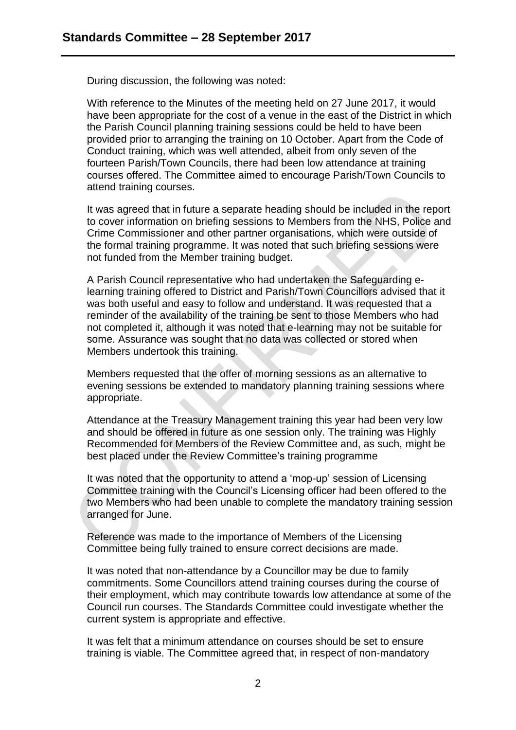During discussion, the following was noted:

With reference to the Minutes of the meeting held on 27 June 2017, it would have been appropriate for the cost of a venue in the east of the District in which the Parish Council planning training sessions could be held to have been provided prior to arranging the training on 10 October. Apart from the Code of Conduct training, which was well attended, albeit from only seven of the fourteen Parish/Town Councils, there had been low attendance at training courses offered. The Committee aimed to encourage Parish/Town Councils to attend training courses.

It was agreed that in future a separate heading should be included in the report to cover information on briefing sessions to Members from the NHS, Police and Crime Commissioner and other partner organisations, which were outside of the formal training programme. It was noted that such briefing sessions were not funded from the Member training budget.

A Parish Council representative who had undertaken the Safeguarding elearning training offered to District and Parish/Town Councillors advised that it was both useful and easy to follow and understand. It was requested that a reminder of the availability of the training be sent to those Members who had not completed it, although it was noted that e-learning may not be suitable for some. Assurance was sought that no data was collected or stored when Members undertook this training.

Members requested that the offer of morning sessions as an alternative to evening sessions be extended to mandatory planning training sessions where appropriate.

Attendance at the Treasury Management training this year had been very low and should be offered in future as one session only. The training was Highly Recommended for Members of the Review Committee and, as such, might be best placed under the Review Committee's training programme

It was noted that the opportunity to attend a 'mop-up' session of Licensing Committee training with the Council's Licensing officer had been offered to the two Members who had been unable to complete the mandatory training session arranged for June.

Reference was made to the importance of Members of the Licensing Committee being fully trained to ensure correct decisions are made.

It was noted that non-attendance by a Councillor may be due to family commitments. Some Councillors attend training courses during the course of their employment, which may contribute towards low attendance at some of the Council run courses. The Standards Committee could investigate whether the current system is appropriate and effective.

It was felt that a minimum attendance on courses should be set to ensure training is viable. The Committee agreed that, in respect of non-mandatory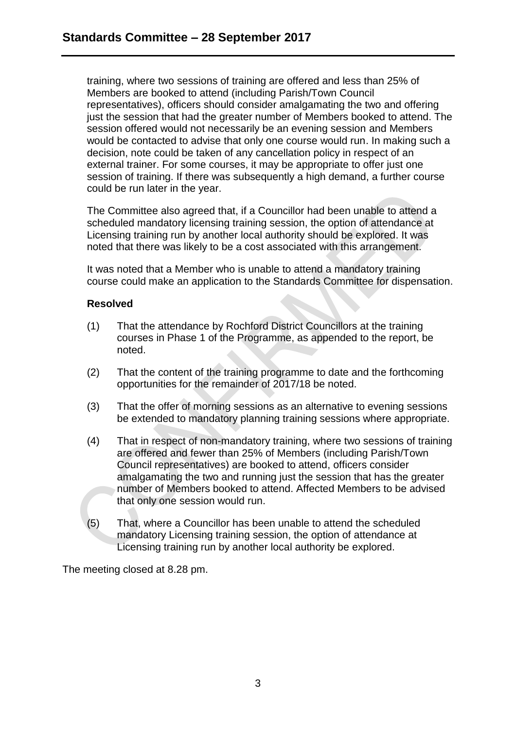training, where two sessions of training are offered and less than 25% of Members are booked to attend (including Parish/Town Council representatives), officers should consider amalgamating the two and offering just the session that had the greater number of Members booked to attend. The session offered would not necessarily be an evening session and Members would be contacted to advise that only one course would run. In making such a decision, note could be taken of any cancellation policy in respect of an external trainer. For some courses, it may be appropriate to offer just one session of training. If there was subsequently a high demand, a further course could be run later in the year.

The Committee also agreed that, if a Councillor had been unable to attend a scheduled mandatory licensing training session, the option of attendance at Licensing training run by another local authority should be explored. It was noted that there was likely to be a cost associated with this arrangement.

It was noted that a Member who is unable to attend a mandatory training course could make an application to the Standards Committee for dispensation.

## **Resolved**

- (1) That the attendance by Rochford District Councillors at the training courses in Phase 1 of the Programme, as appended to the report, be noted.
- (2) That the content of the training programme to date and the forthcoming opportunities for the remainder of 2017/18 be noted.
- (3) That the offer of morning sessions as an alternative to evening sessions be extended to mandatory planning training sessions where appropriate.
- (4) That in respect of non-mandatory training, where two sessions of training are offered and fewer than 25% of Members (including Parish/Town Council representatives) are booked to attend, officers consider amalgamating the two and running just the session that has the greater number of Members booked to attend. Affected Members to be advised that only one session would run.
- (5) That, where a Councillor has been unable to attend the scheduled mandatory Licensing training session, the option of attendance at Licensing training run by another local authority be explored.

The meeting closed at 8.28 pm.